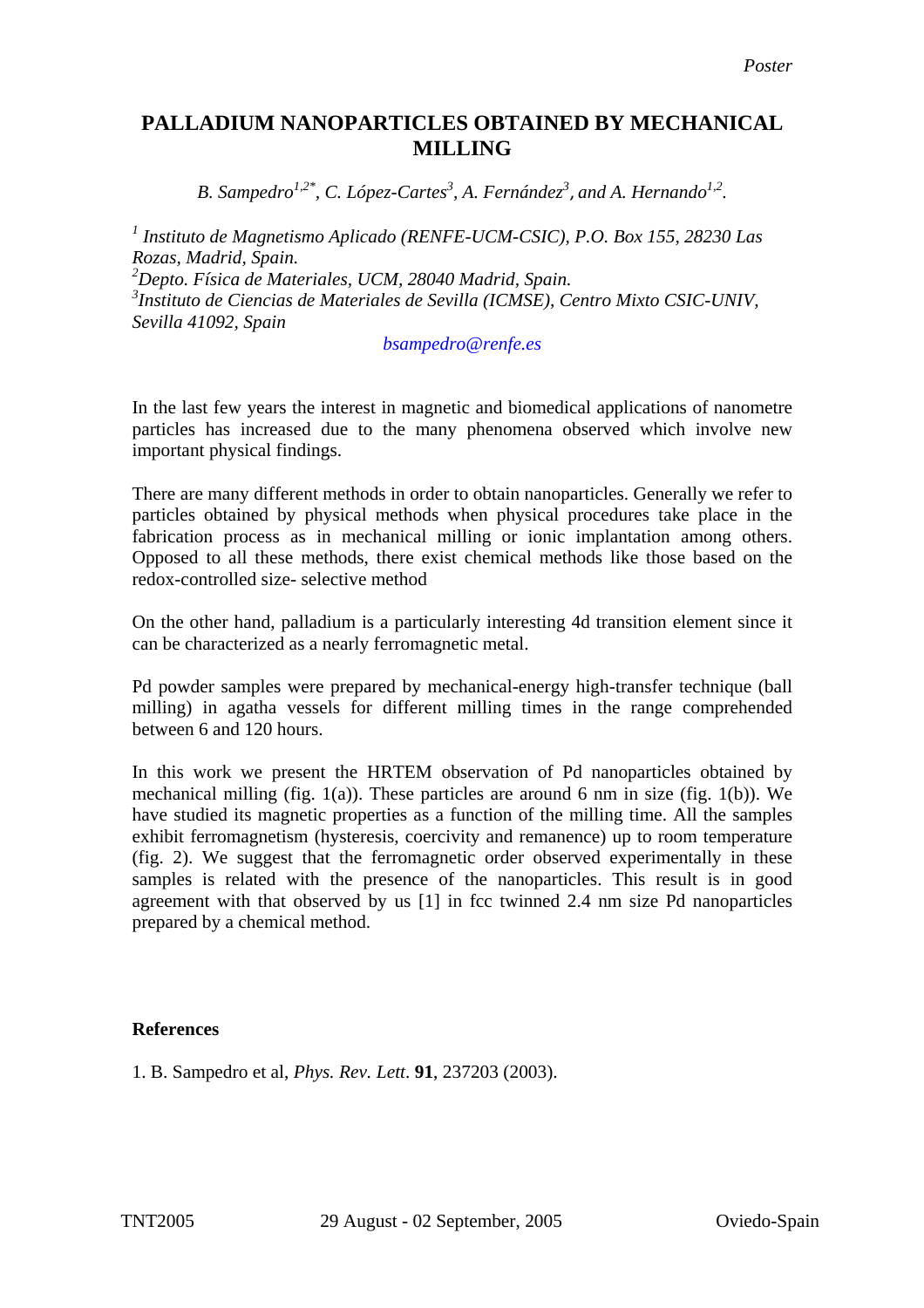## **PALLADIUM NANOPARTICLES OBTAINED BY MECHANICAL MILLING**

*B. Sampedro<sup>1,2\*</sup>, C. López-Cartes<sup>3</sup>, A. Fernández<sup>3</sup>, and A. Hernando<sup>1,2</sup>.* 

*1 Instituto de Magnetismo Aplicado (RENFE-UCM-CSIC), P.O. Box 155, 28230 Las Rozas, Madrid, Spain.* 

*2 Depto. Física de Materiales, UCM, 28040 Madrid, Spain. 3 Instituto de Ciencias de Materiales de Sevilla (ICMSE), Centro Mixto CSIC-UNIV, Sevilla 41092, Spain* 

*bsampedro@renfe.es* 

In the last few years the interest in magnetic and biomedical applications of nanometre particles has increased due to the many phenomena observed which involve new important physical findings.

There are many different methods in order to obtain nanoparticles. Generally we refer to particles obtained by physical methods when physical procedures take place in the fabrication process as in mechanical milling or ionic implantation among others. Opposed to all these methods, there exist chemical methods like those based on the redox-controlled size- selective method

On the other hand, palladium is a particularly interesting 4d transition element since it can be characterized as a nearly ferromagnetic metal.

Pd powder samples were prepared by mechanical-energy high-transfer technique (ball milling) in agatha vessels for different milling times in the range comprehended between 6 and 120 hours.

In this work we present the HRTEM observation of Pd nanoparticles obtained by mechanical milling (fig.  $1(a)$ ). These particles are around 6 nm in size (fig.  $1(b)$ ). We have studied its magnetic properties as a function of the milling time. All the samples exhibit ferromagnetism (hysteresis, coercivity and remanence) up to room temperature (fig. 2). We suggest that the ferromagnetic order observed experimentally in these samples is related with the presence of the nanoparticles. This result is in good agreement with that observed by us [\[1\]](#page-1-0) in fcc twinned 2.4 nm size Pd nanoparticles prepared by a chemical method.

## **References**

1. B. Sampedro et al, *Phys. Rev. Lett*. **91**, 237203 (2003).